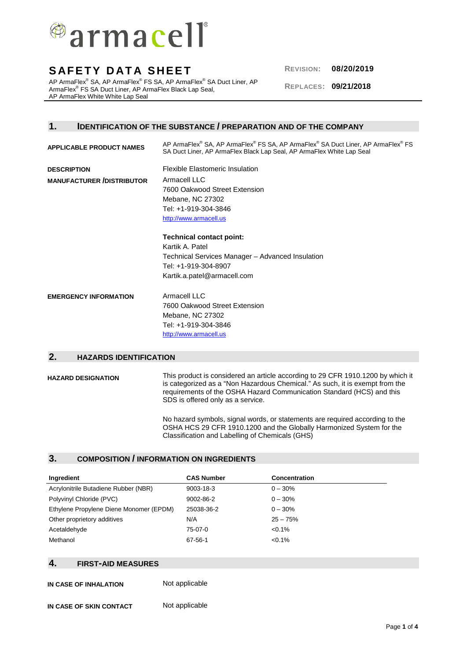

AP ArmaFlex® SA, AP ArmaFlex® FS SA, AP ArmaFlex® SA Duct Liner, AP ArmaFlex® FS SA Duct Liner, AP ArmaFlex Black Lap Seal, AP ArmaFlex White White Lap Seal

**REPLACES: 09/21/2018**

## **1. IDENTIFICATION OF THE SUBSTANCE / PREPARATION AND OF THE COMPANY**

| <b>APPLICABLE PRODUCT NAMES</b>  | AP ArmaFlex <sup>®</sup> SA, AP ArmaFlex <sup>®</sup> FS SA, AP ArmaFlex <sup>®</sup> SA Duct Liner, AP ArmaFlex <sup>®</sup> FS<br>SA Duct Liner, AP ArmaFlex Black Lap Seal, AP ArmaFlex White Lap Seal |
|----------------------------------|-----------------------------------------------------------------------------------------------------------------------------------------------------------------------------------------------------------|
| <b>DESCRIPTION</b>               | <b>Flexible Elastomeric Insulation</b>                                                                                                                                                                    |
| <b>MANUFACTURER /DISTRIBUTOR</b> | Armacell LLC                                                                                                                                                                                              |
|                                  | 7600 Oakwood Street Extension                                                                                                                                                                             |
|                                  | Mebane, NC 27302                                                                                                                                                                                          |
|                                  | Tel: +1-919-304-3846                                                                                                                                                                                      |
|                                  | http://www.armacell.us                                                                                                                                                                                    |
|                                  | <b>Technical contact point:</b>                                                                                                                                                                           |
|                                  | Kartik A. Patel                                                                                                                                                                                           |
|                                  | Technical Services Manager – Advanced Insulation                                                                                                                                                          |
|                                  | Tel: +1-919-304-8907                                                                                                                                                                                      |
|                                  | Kartik.a.patel@armacell.com                                                                                                                                                                               |
| <b>EMERGENCY INFORMATION</b>     | Armacell LLC                                                                                                                                                                                              |
|                                  | 7600 Oakwood Street Extension                                                                                                                                                                             |
|                                  | Mebane, NC 27302                                                                                                                                                                                          |
|                                  | Tel: +1-919-304-3846                                                                                                                                                                                      |
|                                  | http://www.armacell.us                                                                                                                                                                                    |

## **2. HAZARDS IDENTIFICATION**

**HAZARD DESIGNATION** This product is considered an article according to 29 CFR 1910.1200 by which it is categorized as a "Non Hazardous Chemical." As such, it is exempt from the requirements of the OSHA Hazard Communication Standard (HCS) and this SDS is offered only as a service.

> No hazard symbols, signal words, or statements are required according to the OSHA HCS 29 CFR 1910.1200 and the Globally Harmonized System for the Classification and Labelling of Chemicals (GHS)

## **3. COMPOSITION / INFORMATION ON INGREDIENTS**

| Ingredient                              | <b>CAS Number</b> | <b>Concentration</b> |
|-----------------------------------------|-------------------|----------------------|
| Acrylonitrile Butadiene Rubber (NBR)    | $9003 - 18 - 3$   | $0 - 30\%$           |
| Polyvinyl Chloride (PVC)                | 9002-86-2         | $0 - 30\%$           |
| Ethylene Propylene Diene Monomer (EPDM) | 25038-36-2        | $0 - 30\%$           |
| Other proprietory additives             | N/A               | $25 - 75%$           |
| Acetaldehyde                            | 75-07-0           | $< 0.1\%$            |
| Methanol                                | 67-56-1           | $< 0.1\%$            |

## **4. FIRST-AID MEASURES**

**IN CASE OF INHALATION** Not applicable

**IN CASE OF SKIN CONTACT** Not applicable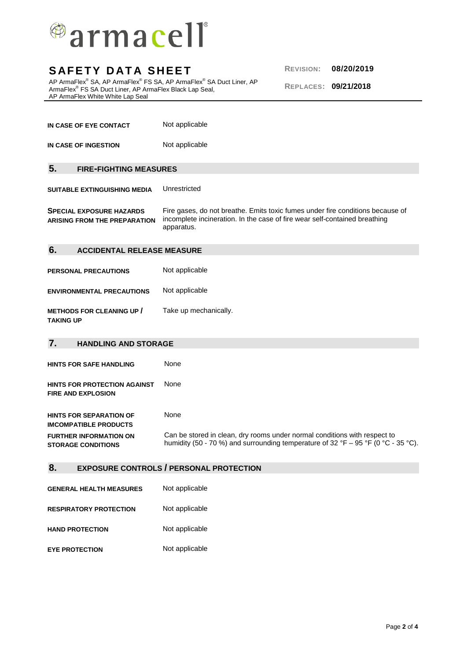

AP ArmaFlex® SA, AP ArmaFlex® FS SA, AP ArmaFlex® SA Duct Liner, AP ArmaFlex® FS SA Duct Liner, AP ArmaFlex Black Lap Seal, AP ArmaFlex White White Lap Seal

**REPLACES: 09/21/2018**

| IN CASE OF EYE CONTACT | Not applicable |
|------------------------|----------------|
| IN CASE OF INGESTION   | Not applicable |

## **5. FIRE-FIGHTING MEASURES**

**SUITABLE EXTINGUISHING MEDIA** Unrestricted

**SPECIAL EXPOSURE HAZARDS ARISING FROM THE PREPARATION** Fire gases, do not breathe. Emits toxic fumes under fire conditions because of incomplete incineration. In the case of fire wear self-contained breathing apparatus.

### **6. ACCIDENTAL RELEASE MEASURE**

**PERSONAL PRECAUTIONS** Not applicable **ENVIRONMENTAL PRECAUTIONS** Not applicable **METHODS FOR CLEANING UP /** Take up mechanically.

**TAKING UP**

| 7.<br><b>HANDLING AND STORAGE</b>                              |                                                                                                                                                                |  |
|----------------------------------------------------------------|----------------------------------------------------------------------------------------------------------------------------------------------------------------|--|
| <b>HINTS FOR SAFE HANDLING</b>                                 | None                                                                                                                                                           |  |
| HINTS FOR PROTECTION AGAINST<br><b>FIRE AND EXPLOSION</b>      | <b>None</b>                                                                                                                                                    |  |
| <b>HINTS FOR SEPARATION OF</b><br><b>IMCOMPATIBLE PRODUCTS</b> | None                                                                                                                                                           |  |
| <b>FURTHER INFORMATION ON</b><br><b>STORAGE CONDITIONS</b>     | Can be stored in clean, dry rooms under normal conditions with respect to<br>humidity (50 - 70 %) and surrounding temperature of 32 °F – 95 °F (0 °C - 35 °C). |  |

## **8. EXPOSURE CONTROLS / PERSONAL PROTECTION**

| <b>GENERAL HEALTH MEASURES</b> | Not applicable |
|--------------------------------|----------------|
| <b>RESPIRATORY PROTECTION</b>  | Not applicable |
| <b>HAND PROTECTION</b>         | Not applicable |
| <b>EYE PROTECTION</b>          | Not applicable |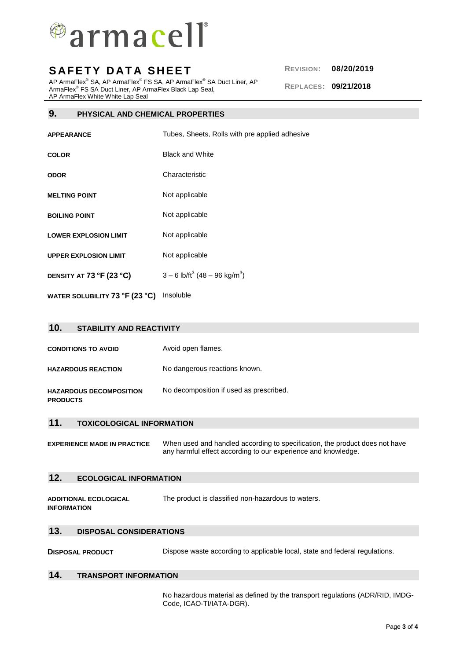

AP ArmaFlex® SA, AP ArmaFlex® FS SA, AP ArmaFlex® SA Duct Liner, AP ArmaFlex® FS SA Duct Liner, AP ArmaFlex Black Lap Seal, AP ArmaFlex White White Lap Seal

### **9. PHYSICAL AND CHEMICAL PROPERTIES**

**APPEARANCE** Tubes, Sheets, Rolls with pre applied adhesive

- **COLOR** Black and White
- **ODOR** Characteristic
- **MELTING POINT** Not applicable
- **BOILING POINT** Not applicable
- **LOWER EXPLOSION LIMIT** Not applicable
- **UPPER EXPLOSION LIMIT** Not applicable
- **DENSITY AT 73 °F (23 °C)**  $3 - 6$  lb/ft<sup>3</sup> (48 – 96 kg/m<sup>3</sup>)
- **WATER SOLUBILITY 73 °F (23 °C)** Insoluble

| 10.<br><b>STABILITY AND REACTIVITY</b>            |                                         |
|---------------------------------------------------|-----------------------------------------|
| <b>CONDITIONS TO AVOID</b>                        | Avoid open flames.                      |
| <b>HAZARDOUS REACTION</b>                         | No dangerous reactions known.           |
| <b>HAZARDOUS DECOMPOSITION</b><br><b>PRODUCTS</b> | No decomposition if used as prescribed. |
| $\overline{A}$                                    |                                         |

### **11. TOXICOLOGICAL INFORMATION**

**EXPERIENCE MADE IN PRACTICE** When used and handled according to specification, the product does not have any harmful effect according to our experience and knowledge.

## **12. ECOLOGICAL INFORMATION**

**ADDITIONAL ECOLOGICAL INFORMATION**  The product is classified non-hazardous to waters.

#### **13. DISPOSAL CONSIDERATIONS**

**DISPOSAL PRODUCT** Dispose waste according to applicable local, state and federal regulations.

#### **14. TRANSPORT INFORMATION**

No hazardous material as defined by the transport regulations (ADR/RID, IMDG-Code, ICAO-TI/IATA-DGR).

**REPLACES: 09/21/2018**